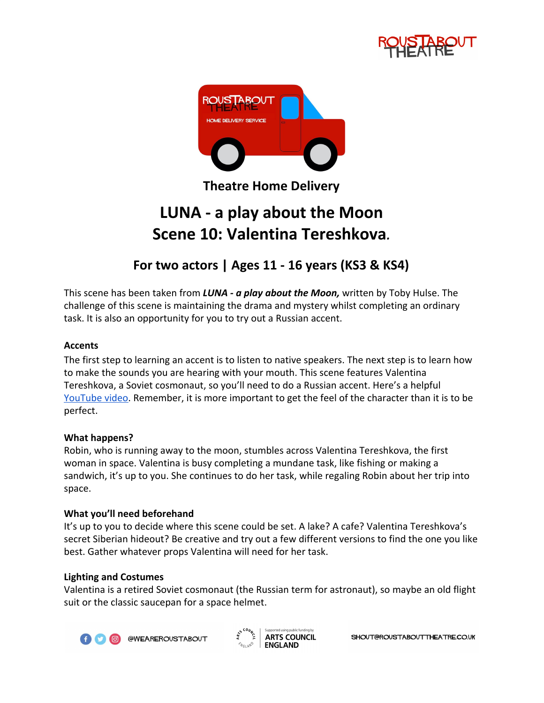



**Theatre Home Delivery**

# **LUNA - a play about the Moon Scene 10: Valentina Tereshkova***.*

## **For two actors | Ages 11 - 16 years (KS3 & KS4)**

This scene has been taken from *LUNA - a play about the Moon,* written by Toby Hulse. The challenge of this scene is maintaining the drama and mystery whilst completing an ordinary task. It is also an opportunity for you to try out a Russian accent.

### **Accents**

The first step to learning an accent is to listen to native speakers. The next step is to learn how to make the sounds you are hearing with your mouth. This scene features Valentina Tereshkova, a Soviet cosmonaut, so you'll need to do a Russian accent. Here's a helpful [YouTube video.](https://www.youtube.com/watch?v=87GErKAhQSc) Remember, it is more important to get the feel of the character than it is to be perfect.

#### **What happens?**

Robin, who is running away to the moon, stumbles across Valentina Tereshkova, the first woman in space. Valentina is busy completing a mundane task, like fishing or making a sandwich, it's up to you. She continues to do her task, while regaling Robin about her trip into space.

#### **What you'll need beforehand**

It's up to you to decide where this scene could be set. A lake? A cafe? Valentina Tereshkova's secret Siberian hideout? Be creative and try out a few different versions to find the one you like best. Gather whatever props Valentina will need for her task.

#### **Lighting and Costumes**

Valentina is a retired Soviet cosmonaut (the Russian term for astronaut), so maybe an old flight suit or the classic saucepan for a space helmet.



@WEAREROUSTABOUT



SHOUT@ROUSTABOUTTHEATRE.CO.UK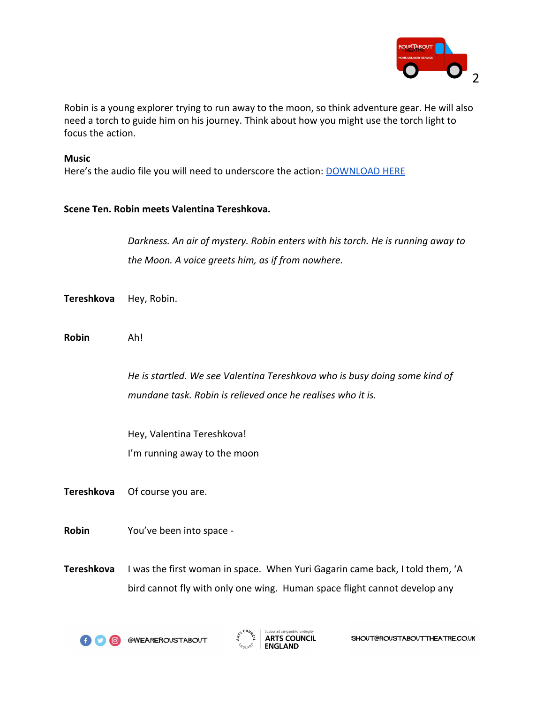

Robin is a young explorer trying to run away to the moon, so think adventure gear. He will also need a torch to guide him on his journey. Think about how you might use the torch light to focus the action.

#### **Music**

Here's the audio file you will need to underscore the action: **[DOWNLOAD HERE](https://drive.google.com/open?id=1INxcCltVgE1tN5Fl6VTJLWitCktOUuoo)** 

#### **Scene Ten. Robin meets Valentina Tereshkova.**

*Darkness. An air of mystery. Robin enters with his torch. He is running away to the Moon. A voice greets him, as if from nowhere.*

- **Tereshkova** Hey, Robin.
- **Robin** Ah!

*He is startled. We see Valentina Tereshkova who is busy doing some kind of mundane task. Robin is relieved once he realises who it is.*

Hey, Valentina Tereshkova! I'm running away to the moon

**Tereshkova** Of course you are.

**Robin** You've been into space -

**Tereshkova** I was the first woman in space. When Yuri Gagarin came back, I told them, 'A bird cannot fly with only one wing. Human space flight cannot develop any

**f O @ @WEAREROUSTABOUT** 

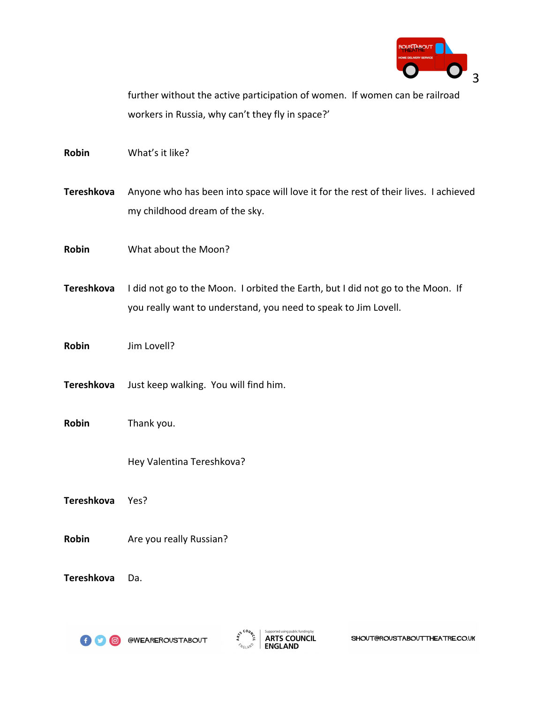

further without the active participation of women. If women can be railroad workers in Russia, why can't they fly in space?'

**Robin** What's it like?

**Tereshkova** Anyone who has been into space will love it for the rest of their lives. I achieved my childhood dream of the sky.

**Robin** What about the Moon?

**Tereshkova** I did not go to the Moon. I orbited the Earth, but I did not go to the Moon. If you really want to understand, you need to speak to Jim Lovell.

**Robin** Jim Lovell?

**Tereshkova** Just keep walking. You will find him.

**Robin** Thank you.

Hey Valentina Tereshkova?

**Tereshkova** Yes?

**Robin** Are you really Russian?

**Tereshkova** Da.



**ED @ @WEAREROUSTABOUT**